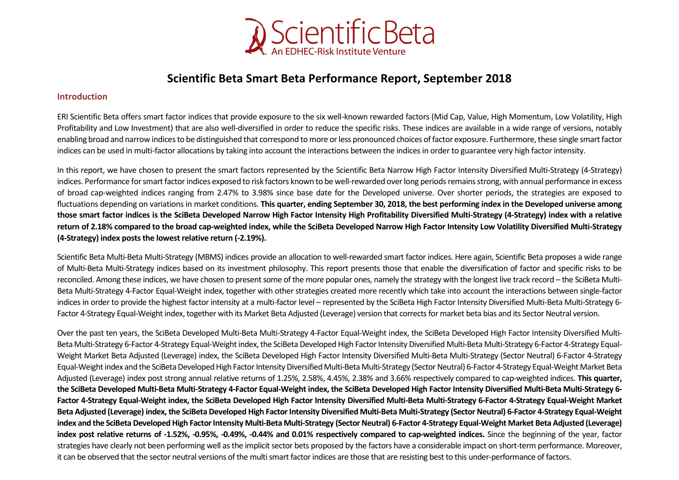

# **Scientific Beta Smart Beta Performance Report, September 2018**

## **Introduction**

ERI Scientific Beta offers smart factor indices that provide exposure to the six well-known rewarded factors (Mid Cap, Value, High Momentum, Low Volatility, High Profitability and Low Investment) that are also well-diversified in order to reduce the specific risks. These indices are available in a wide range of versions, notably enabling broad and narrow indices to be distinguished that correspond to more or less pronounced choices of factor exposure. Furthermore, these single smart factor indices can be used in multi-factor allocations by taking into account the interactions between the indices in order to guarantee very high factor intensity.

In this report, we have chosen to present the smart factors represented by the Scientific Beta Narrow High Factor Intensity Diversified Multi-Strategy (4-Strategy) indices. Performance for smart factor indices exposed to risk factors known to be well-rewarded over long periods remains strong, with annual performance in excess of broad cap-weighted indices ranging from 2.47% to 3.98% since base date for the Developed universe. Over shorter periods, the strategies are exposed to fluctuations depending on variations in market conditions. **This quarter, ending September 30, 2018, the best performing index in the Developed universe among those smart factor indices is the SciBeta Developed Narrow High Factor Intensity High Profitability Diversified Multi-Strategy (4-Strategy) index with a relative return of 2.18% compared to the broad cap-weighted index, while the SciBeta Developed Narrow High Factor Intensity Low Volatility Diversified Multi-Strategy (4-Strategy) index posts the lowest relative return (-2.19%).**

Scientific Beta Multi-Beta Multi-Strategy (MBMS) indices provide an allocation to well-rewarded smart factor indices. Here again, Scientific Beta proposes a wide range of Multi-Beta Multi-Strategy indices based on its investment philosophy. This report presents those that enable the diversification of factor and specific risks to be reconciled. Among these indices, we have chosen to present some of the more popular ones, namely the strategy with the longest live track record – the SciBeta Multi-Beta Multi-Strategy 4-Factor Equal-Weight index, together with other strategies created more recently which take into account the interactions between single-factor indices in order to provide the highest factor intensity at a multi-factor level – represented by the SciBeta High Factor Intensity Diversified Multi-Beta Multi-Strategy 6-Factor 4-Strategy Equal-Weight index, together with its Market Beta Adjusted (Leverage) version that corrects for market beta bias and its Sector Neutral version.

Over the past ten years, the SciBeta Developed Multi-Beta Multi-Strategy 4-Factor Equal-Weight index, the SciBeta Developed High Factor Intensity Diversified Multi-Beta Multi-Strategy 6-Factor 4-Strategy Equal-Weight index, the SciBeta Developed High Factor Intensity Diversified Multi-Beta Multi-Strategy 6-Factor 4-Strategy Equal-Weight Market Beta Adjusted (Leverage) index, the SciBeta Developed High Factor Intensity Diversified Multi-Beta Multi-Strategy (Sector Neutral) 6-Factor 4-Strategy Equal-Weight index and the SciBeta Developed High Factor Intensity Diversified Multi-Beta Multi-Strategy (Sector Neutral) 6-Factor 4-Strategy Equal-Weight Market Beta Adjusted (Leverage) index post strong annual relative returns of 1.25%, 2.58%, 4.45%, 2.38% and 3.66% respectively compared to cap-weighted indices. **This quarter, the SciBeta Developed Multi-Beta Multi-Strategy 4-Factor Equal-Weight index, the SciBeta Developed High Factor Intensity Diversified Multi-Beta Multi-Strategy 6- Factor 4-Strategy Equal-Weight index, the SciBeta Developed High Factor Intensity Diversified Multi-Beta Multi-Strategy 6-Factor 4-Strategy Equal-Weight Market Beta Adjusted (Leverage) index, the SciBeta Developed High Factor Intensity Diversified Multi-Beta Multi-Strategy (Sector Neutral) 6-Factor 4-Strategy Equal-Weight index and the SciBeta Developed High Factor Intensity Multi-Beta Multi-Strategy (Sector Neutral) 6-Factor 4-Strategy Equal-Weight Market Beta Adjusted (Leverage) index post relative returns of -1.52%, -0.95%, -0.49%, -0.44% and 0.01% respectively compared to cap-weighted indices.** Since the beginning of the year, factor strategies have clearly not been performing well as the implicit sector bets proposed by the factors have a considerable impact on short-term performance. Moreover, it can be observed that the sector neutral versions of the multi smart factor indices are those that are resisting best to this under-performance of factors.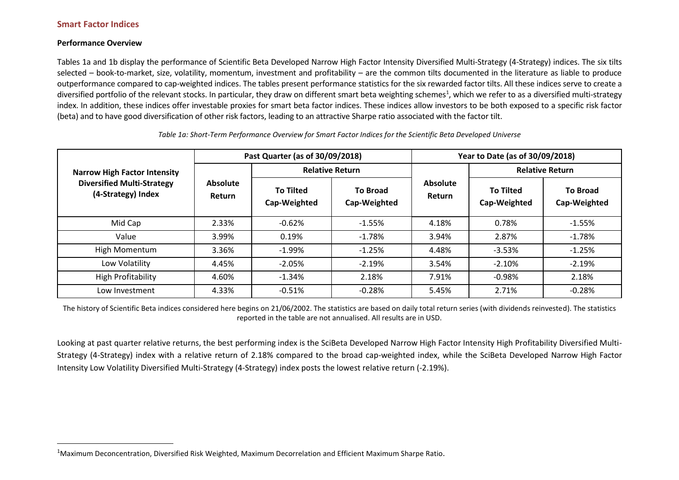# **Smart Factor Indices**

## **Performance Overview**

 $\overline{\phantom{a}}$ 

Tables 1a and 1b display the performance of Scientific Beta Developed Narrow High Factor Intensity Diversified Multi-Strategy (4-Strategy) indices. The six tilts selected – book-to-market, size, volatility, momentum, investment and profitability – are the common tilts documented in the literature as liable to produce outperformance compared to cap-weighted indices. The tables present performance statistics for the six rewarded factor tilts. All these indices serve to create a diversified portfolio of the relevant stocks. In particular, they draw on different smart beta weighting schemes<sup>1</sup>, which we refer to as a diversified multi-strategy index. In addition, these indices offer investable proxies for smart beta factor indices. These indices allow investors to be both exposed to a specific risk factor (beta) and to have good diversification of other risk factors, leading to an attractive Sharpe ratio associated with the factor tilt.

|                                                                                                |                                  | Past Quarter (as of 30/09/2018)  |                                 | Year to Date (as of 30/09/2018)  |                                  |                                 |  |  |
|------------------------------------------------------------------------------------------------|----------------------------------|----------------------------------|---------------------------------|----------------------------------|----------------------------------|---------------------------------|--|--|
| <b>Narrow High Factor Intensity</b><br><b>Diversified Multi-Strategy</b><br>(4-Strategy) Index |                                  |                                  | <b>Relative Return</b>          |                                  | <b>Relative Return</b>           |                                 |  |  |
|                                                                                                | <b>Absolute</b><br><b>Return</b> | <b>To Tilted</b><br>Cap-Weighted | <b>To Broad</b><br>Cap-Weighted | <b>Absolute</b><br><b>Return</b> | <b>To Tilted</b><br>Cap-Weighted | <b>To Broad</b><br>Cap-Weighted |  |  |
| Mid Cap                                                                                        | 2.33%                            | $-0.62%$                         | $-1.55%$                        | 4.18%                            | 0.78%                            | $-1.55\%$                       |  |  |
| Value                                                                                          | 3.99%                            | 0.19%                            | $-1.78%$                        | 3.94%                            | 2.87%                            | $-1.78%$                        |  |  |
| High Momentum                                                                                  | 3.36%                            | $-1.99\%$                        | $-1.25%$                        | 4.48%                            | $-3.53\%$                        | $-1.25%$                        |  |  |
| Low Volatility                                                                                 | 4.45%                            | $-2.05%$                         | $-2.19%$                        | 3.54%                            | $-2.10\%$                        | $-2.19%$                        |  |  |
| <b>High Profitability</b>                                                                      | 4.60%                            | $-1.34%$                         | 2.18%                           | 7.91%                            | $-0.98%$                         | 2.18%                           |  |  |
| Low Investment                                                                                 | 4.33%                            | $-0.51%$                         | $-0.28%$                        | 5.45%                            | 2.71%                            | $-0.28%$                        |  |  |

*Table 1a: Short-Term Performance Overview for Smart Factor Indices for the Scientific Beta Developed Universe*

The history of Scientific Beta indices considered here begins on 21/06/2002. The statistics are based on daily total return series (with dividends reinvested). The statistics reported in the table are not annualised. All results are in USD.

Looking at past quarter relative returns, the best performing index is the SciBeta Developed Narrow High Factor Intensity High Profitability Diversified Multi-Strategy (4-Strategy) index with a relative return of 2.18% compared to the broad cap-weighted index, while the SciBeta Developed Narrow High Factor Intensity Low Volatility Diversified Multi-Strategy (4-Strategy) index posts the lowest relative return (-2.19%).

<sup>1</sup>Maximum Deconcentration, Diversified Risk Weighted, Maximum Decorrelation and Efficient Maximum Sharpe Ratio.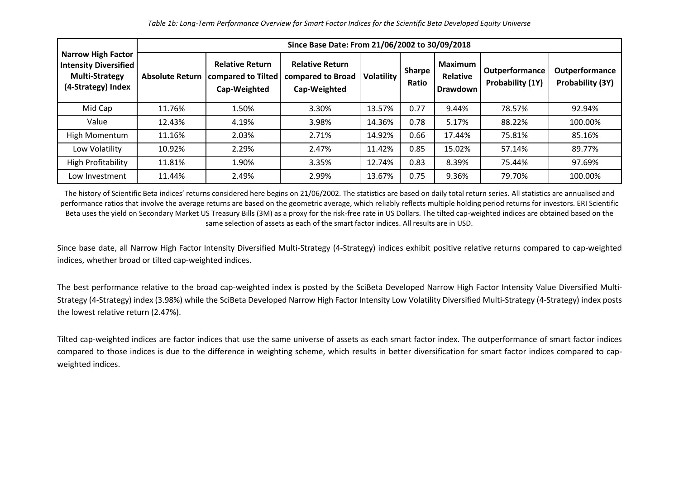|                                                                                                          | Since Base Date: From 21/06/2002 to 30/09/2018 |                                                                                  |                                                             |                   |                        |                                        |                                    |                                    |  |  |  |
|----------------------------------------------------------------------------------------------------------|------------------------------------------------|----------------------------------------------------------------------------------|-------------------------------------------------------------|-------------------|------------------------|----------------------------------------|------------------------------------|------------------------------------|--|--|--|
| <b>Narrow High Factor</b><br><b>Intensity Diversified</b><br><b>Multi-Strategy</b><br>(4-Strategy) Index |                                                | <b>Relative Return</b><br>Absolute Return   compared to Tilted  <br>Cap-Weighted | <b>Relative Return</b><br>compared to Broad<br>Cap-Weighted | <b>Volatility</b> | <b>Sharpe</b><br>Ratio | <b>Maximum</b><br>Relative<br>Drawdown | Outperformance<br>Probability (1Y) | Outperformance<br>Probability (3Y) |  |  |  |
| Mid Cap                                                                                                  | 11.76%                                         | 1.50%                                                                            | 3.30%                                                       | 13.57%            | 0.77                   | 9.44%                                  | 78.57%                             | 92.94%                             |  |  |  |
| Value                                                                                                    | 12.43%                                         | 4.19%                                                                            | 3.98%                                                       | 14.36%            | 0.78                   | 5.17%                                  | 88.22%                             | 100.00%                            |  |  |  |
| High Momentum                                                                                            | 11.16%                                         | 2.03%                                                                            | 2.71%                                                       | 14.92%            | 0.66                   | 17.44%                                 | 75.81%                             | 85.16%                             |  |  |  |
| Low Volatility                                                                                           | 10.92%                                         | 2.29%                                                                            | 2.47%                                                       | 11.42%            | 0.85                   | 15.02%                                 | 57.14%                             | 89.77%                             |  |  |  |
| <b>High Profitability</b>                                                                                | 11.81%                                         | 1.90%                                                                            | 3.35%                                                       | 12.74%            | 0.83                   | 8.39%                                  | 75.44%                             | 97.69%                             |  |  |  |
| Low Investment                                                                                           | 11.44%                                         | 2.49%                                                                            | 2.99%                                                       | 13.67%            | 0.75                   | 9.36%                                  | 79.70%                             | 100.00%                            |  |  |  |

The history of Scientific Beta indices' returns considered here begins on 21/06/2002. The statistics are based on daily total return series. All statistics are annualised and performance ratios that involve the average returns are based on the geometric average, which reliably reflects multiple holding period returns for investors. ERI Scientific Beta uses the yield on Secondary Market US Treasury Bills (3M) as a proxy for the risk-free rate in US Dollars. The tilted cap-weighted indices are obtained based on the same selection of assets as each of the smart factor indices. All results are in USD.

Since base date, all Narrow High Factor Intensity Diversified Multi-Strategy (4-Strategy) indices exhibit positive relative returns compared to cap-weighted indices, whether broad or tilted cap-weighted indices.

The best performance relative to the broad cap-weighted index is posted by the SciBeta Developed Narrow High Factor Intensity Value Diversified Multi-Strategy (4-Strategy) index (3.98%) while the SciBeta Developed Narrow High Factor Intensity Low Volatility Diversified Multi-Strategy (4-Strategy) index posts the lowest relative return (2.47%).

Tilted cap-weighted indices are factor indices that use the same universe of assets as each smart factor index. The outperformance of smart factor indices compared to those indices is due to the difference in weighting scheme, which results in better diversification for smart factor indices compared to capweighted indices.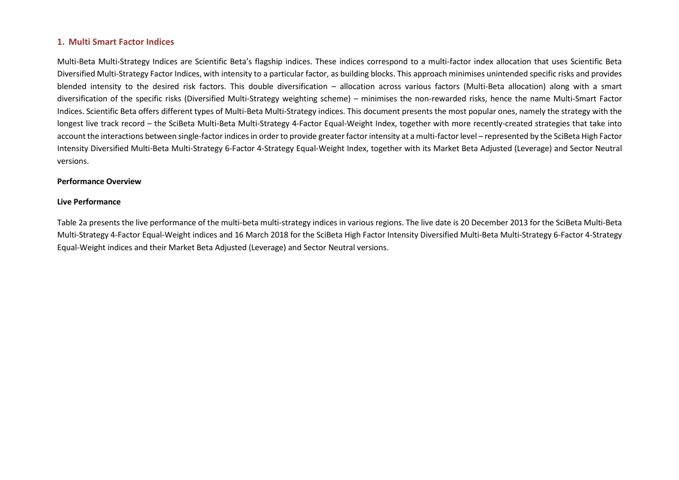## **1. Multi Smart Factor Indices**

Multi-Beta Multi-Strategy Indices are Scientific Beta's flagship indices. These indices correspond to a multi-factor index allocation that uses Scientific Beta Diversified Multi-Strategy Factor Indices, with intensity to a particular factor, as building blocks. This approach minimises unintended specific risks and provides blended intensity to the desired risk factors. This double diversification – allocation across various factors (Multi-Beta allocation) along with a smart diversification of the specific risks (Diversified Multi-Strategy weighting scheme) – minimises the non-rewarded risks, hence the name Multi-Smart Factor Indices. Scientific Beta offers different types of Multi-Beta Multi-Strategy indices. This document presents the most popular ones, namely the strategy with the longest live track record – the SciBeta Multi-Beta Multi-Strategy 4-Factor Equal-Weight Index, together with more recently-created strategies that take into account the interactions between single-factor indices in order to provide greater factor intensity at a multi-factor level – represented by the SciBeta High Factor Intensity Diversified Multi-Beta Multi-Strategy 6-Factor 4-Strategy Equal-Weight Index, together with its Market Beta Adjusted (Leverage) and Sector Neutral versions.

#### **Performance Overview**

## **Live Performance**

Table 2a presents the live performance of the multi-beta multi-strategy indices in various regions. The live date is 20 December 2013 for the SciBeta Multi-Beta Multi-Strategy 4-Factor Equal-Weight indices and 16 March 2018 for the SciBeta High Factor Intensity Diversified Multi-Beta Multi-Strategy 6-Factor 4-Strategy Equal-Weight indices and their Market Beta Adjusted (Leverage) and Sector Neutral versions.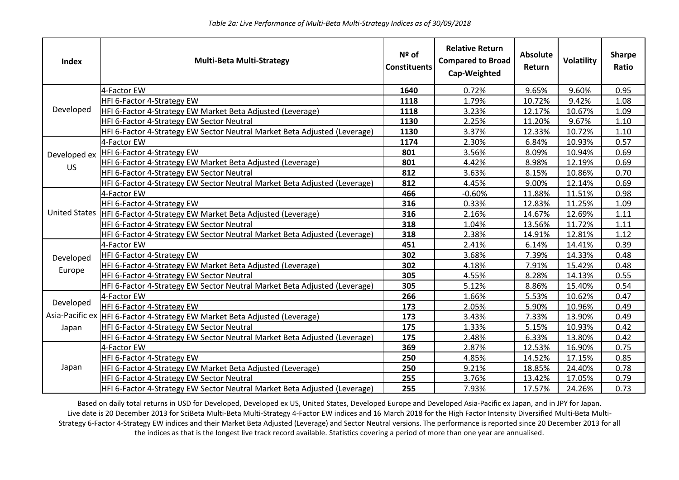| Index                | <b>Multi-Beta Multi-Strategy</b>                                          | Nº of<br><b>Constituents</b> | <b>Relative Return</b><br><b>Compared to Broad</b><br>Cap-Weighted | <b>Absolute</b><br>Return | <b>Volatility</b> | <b>Sharpe</b><br>Ratio |
|----------------------|---------------------------------------------------------------------------|------------------------------|--------------------------------------------------------------------|---------------------------|-------------------|------------------------|
|                      | 4-Factor EW                                                               | 1640                         | 0.72%                                                              | 9.65%                     | 9.60%             | 0.95                   |
| Developed            | HFI 6-Factor 4-Strategy EW                                                | 1118                         | 1.79%                                                              | 10.72%                    | 9.42%             | 1.08                   |
|                      | HFI 6-Factor 4-Strategy EW Market Beta Adjusted (Leverage)                | 1118                         | 3.23%                                                              | 12.17%                    | 10.67%            | 1.09                   |
|                      | HFI 6-Factor 4-Strategy EW Sector Neutral                                 | 1130                         | 2.25%                                                              | 11.20%                    | 9.67%             | 1.10                   |
|                      | HFI 6-Factor 4-Strategy EW Sector Neutral Market Beta Adjusted (Leverage) | 1130                         | 3.37%                                                              | 12.33%                    | 10.72%            | 1.10                   |
|                      | 4-Factor EW                                                               | 1174                         | 2.30%                                                              | 6.84%                     | 10.93%            | 0.57                   |
| Developed ex         | HFI 6-Factor 4-Strategy EW                                                | 801                          | 3.56%                                                              | 8.09%                     | 10.94%            | 0.69                   |
| <b>US</b>            | HFI 6-Factor 4-Strategy EW Market Beta Adjusted (Leverage)                | 801                          | 4.42%                                                              | 8.98%                     | 12.19%            | 0.69                   |
|                      | HFI 6-Factor 4-Strategy EW Sector Neutral                                 | 812                          | 3.63%                                                              | 8.15%                     | 10.86%            | 0.70                   |
|                      | HFI 6-Factor 4-Strategy EW Sector Neutral Market Beta Adjusted (Leverage) | 812                          | 4.45%                                                              | 9.00%                     | 12.14%            | 0.69                   |
| <b>United States</b> | 4-Factor EW                                                               | 466                          | $-0.60%$                                                           | 11.88%                    | 11.51%            | 0.98                   |
|                      | HFI 6-Factor 4-Strategy EW                                                | 316                          | 0.33%                                                              | 12.83%                    | 11.25%            | 1.09                   |
|                      | HFI 6-Factor 4-Strategy EW Market Beta Adjusted (Leverage)                | 316                          | 2.16%                                                              | 14.67%                    | 12.69%            | 1.11                   |
|                      | HFI 6-Factor 4-Strategy EW Sector Neutral                                 | 318                          | 1.04%                                                              | 13.56%                    | 11.72%            | 1.11                   |
|                      | HFI 6-Factor 4-Strategy EW Sector Neutral Market Beta Adjusted (Leverage) | 318                          | 2.38%                                                              | 14.91%                    | 12.81%            | 1.12                   |
|                      | 4-Factor EW                                                               | 451                          | 2.41%                                                              | 6.14%                     | 14.41%            | 0.39                   |
| Developed            | <b>HFI 6-Factor 4-Strategy EW</b>                                         | 302                          | 3.68%                                                              | 7.39%                     | 14.33%            | 0.48                   |
| Europe               | HFI 6-Factor 4-Strategy EW Market Beta Adjusted (Leverage)                | 302                          | 4.18%                                                              | 7.91%                     | 15.42%            | 0.48                   |
|                      | HFI 6-Factor 4-Strategy EW Sector Neutral                                 | 305                          | 4.55%                                                              | 8.28%                     | 14.13%            | 0.55                   |
|                      | HFI 6-Factor 4-Strategy EW Sector Neutral Market Beta Adjusted (Leverage) | 305                          | 5.12%                                                              | 8.86%                     | 15.40%            | 0.54                   |
|                      | 4-Factor EW                                                               | 266                          | 1.66%                                                              | 5.53%                     | 10.62%            | 0.47                   |
| Developed            | HFI 6-Factor 4-Strategy EW                                                | 173                          | 2.05%                                                              | 5.90%                     | 10.96%            | 0.49                   |
| Asia-Pacific ex      | HFI 6-Factor 4-Strategy EW Market Beta Adjusted (Leverage)                | 173                          | 3.43%                                                              | 7.33%                     | 13.90%            | 0.49                   |
| Japan                | HFI 6-Factor 4-Strategy EW Sector Neutral                                 | 175                          | 1.33%                                                              | 5.15%                     | 10.93%            | 0.42                   |
|                      | HFI 6-Factor 4-Strategy EW Sector Neutral Market Beta Adjusted (Leverage) | 175                          | 2.48%                                                              | 6.33%                     | 13.80%            | 0.42                   |
| Japan                | 4-Factor EW                                                               | 369                          | 2.87%                                                              | 12.53%                    | 16.90%            | 0.75                   |
|                      | HFI 6-Factor 4-Strategy EW                                                | 250                          | 4.85%                                                              | 14.52%                    | 17.15%            | 0.85                   |
|                      | HFI 6-Factor 4-Strategy EW Market Beta Adjusted (Leverage)                | 250                          | 9.21%                                                              | 18.85%                    | 24.40%            | 0.78                   |
|                      | HFI 6-Factor 4-Strategy EW Sector Neutral                                 | 255                          | 3.76%                                                              | 13.42%                    | 17.05%            | 0.79                   |
|                      | HFI 6-Factor 4-Strategy EW Sector Neutral Market Beta Adjusted (Leverage) | 255                          | 7.93%                                                              | 17.57%                    | 24.26%            | 0.73                   |

Based on daily total returns in USD for Developed, Developed ex US, United States, Developed Europe and Developed Asia-Pacific ex Japan, and in JPY for Japan. Live date is 20 December 2013 for SciBeta Multi-Beta Multi-Strategy 4-Factor EW indices and 16 March 2018 for the High Factor Intensity Diversified Multi-Beta Multi-Strategy 6-Factor 4-Strategy EW indices and their Market Beta Adjusted (Leverage) and Sector Neutral versions. The performance is reported since 20 December 2013 for all the indices as that is the longest live track record available. Statistics covering a period of more than one year are annualised.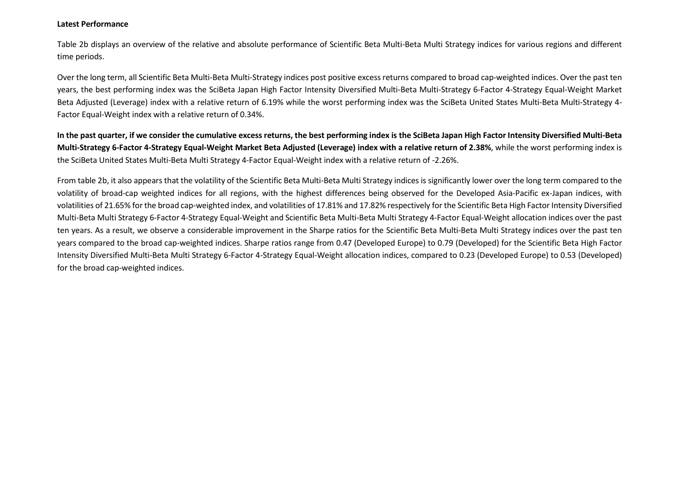#### **Latest Performance**

Table 2b displays an overview of the relative and absolute performance of Scientific Beta Multi-Beta Multi Strategy indices for various regions and different time periods.

Over the long term, all Scientific Beta Multi-Beta Multi-Strategy indices post positive excess returns compared to broad cap-weighted indices. Over the past ten years, the best performing index was the SciBeta Japan High Factor Intensity Diversified Multi-Beta Multi-Strategy 6-Factor 4-Strategy Equal-Weight Market Beta Adjusted (Leverage) index with a relative return of 6.19% while the worst performing index was the SciBeta United States Multi-Beta Multi-Strategy 4- Factor Equal-Weight index with a relative return of 0.34%.

**In the past quarter, if we consider the cumulative excess returns, the best performing index is the SciBeta Japan High Factor Intensity Diversified Multi-Beta Multi-Strategy 6-Factor 4-Strategy Equal-Weight Market Beta Adjusted (Leverage) index with a relative return of 2.38%**, while the worst performing index is the SciBeta United States Multi-Beta Multi Strategy 4-Factor Equal-Weight index with a relative return of -2.26%.

From table 2b, it also appears that the volatility of the Scientific Beta Multi-Beta Multi Strategy indices is significantly lower over the long term compared to the volatility of broad-cap weighted indices for all regions, with the highest differences being observed for the Developed Asia-Pacific ex-Japan indices, with volatilities of 21.65% for the broad cap-weighted index, and volatilities of 17.81% and 17.82% respectively for the Scientific Beta High Factor Intensity Diversified Multi-Beta Multi Strategy 6-Factor 4-Strategy Equal-Weight and Scientific Beta Multi-Beta Multi Strategy 4-Factor Equal-Weight allocation indices over the past ten years. As a result, we observe a considerable improvement in the Sharpe ratios for the Scientific Beta Multi-Beta Multi Strategy indices over the past ten years compared to the broad cap-weighted indices. Sharpe ratios range from 0.47 (Developed Europe) to 0.79 (Developed) for the Scientific Beta High Factor Intensity Diversified Multi-Beta Multi Strategy 6-Factor 4-Strategy Equal-Weight allocation indices, compared to 0.23 (Developed Europe) to 0.53 (Developed) for the broad cap-weighted indices.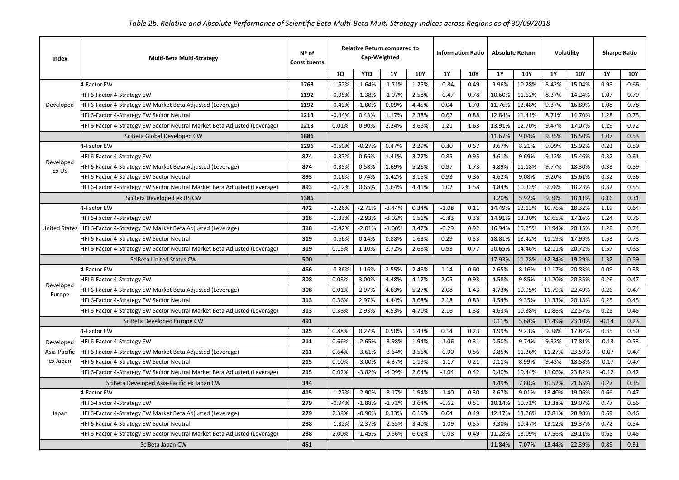| Index                                                                     | <b>Multi-Beta Multi-Strategy</b>                                          | Nº of<br><b>Constituents</b> | <b>Relative Return compared to</b><br>Cap-Weighted |            | <b>Information Ratio</b> |            | <b>Absolute Return</b> |            | <b>Volatility</b> |            | <b>Sharpe Ratio</b> |            |           |            |
|---------------------------------------------------------------------------|---------------------------------------------------------------------------|------------------------------|----------------------------------------------------|------------|--------------------------|------------|------------------------|------------|-------------------|------------|---------------------|------------|-----------|------------|
|                                                                           |                                                                           |                              | 10                                                 | <b>YTD</b> | <b>1Y</b>                | <b>10Y</b> | <b>1Y</b>              | <b>10Y</b> | <b>1Y</b>         | <b>10Y</b> | <b>1Y</b>           | <b>10Y</b> | <b>1Y</b> | <b>10Y</b> |
|                                                                           | 4-Factor EW                                                               | 1768                         | $-1.52%$                                           | $-1.64%$   | $-1.71%$                 | 1.25%      | $-0.84$                | 0.49       | 9.96%             | 10.28%     | 8.42%               | 15.04%     | 0.98      | 0.66       |
|                                                                           | HFI 6-Factor 4-Strategy EW                                                | 1192                         | $-0.95%$                                           | $-1.38%$   | $-1.07%$                 | 2.58%      | $-0.47$                | 0.78       | 10.60%            | 11.62%     | 8.37%               | 14.24%     | 1.07      | 0.79       |
| Developed                                                                 | HFI 6-Factor 4-Strategy EW Market Beta Adjusted (Leverage)                | 1192                         | $-0.49%$                                           | $-1.00%$   | 0.09%                    | 4.45%      | 0.04                   | 1.70       | 11.76%            | 13.48%     | 9.37%               | 16.89%     | 1.08      | 0.78       |
|                                                                           | HFI 6-Factor 4-Strategy EW Sector Neutral                                 | 1213                         | $-0.44%$                                           | 0.43%      | 1.17%                    | 2.38%      | 0.62                   | 0.88       | 12.84%            | 11.41%     | 8.71%               | 14.70%     | 1.28      | 0.75       |
|                                                                           | HFI 6-Factor 4-Strategy EW Sector Neutral Market Beta Adjusted (Leverage) | 1213                         | 0.01%                                              | 0.90%      | 2.24%                    | 3.66%      | 1.21                   | 1.63       | 13.91%            | 12.70%     | 9.47%               | 17.07%     | 1.29      | 0.72       |
|                                                                           | SciBeta Global Developed CW                                               | 1886                         |                                                    |            |                          |            |                        |            | 11.67%            | 9.04%      | 9.35%               | 16.50%     | 1.07      | 0.53       |
|                                                                           | 4-Factor EW                                                               | 1296                         | $-0.50%$                                           | $-0.27%$   | 0.47%                    | 2.29%      | 0.30                   | 0.67       | 3.67%             | 8.21%      | 9.09%               | 15.92%     | 0.22      | 0.50       |
| Developed                                                                 | HFI 6-Factor 4-Strategy EW                                                | 874                          | $-0.37%$                                           | 0.66%      | 1.41%                    | 3.77%      | 0.85                   | 0.95       | 4.61%             | 9.69%      | 9.13%               | 15.46%     | 0.32      | 0.61       |
| ex US                                                                     | HFI 6-Factor 4-Strategy EW Market Beta Adjusted (Leverage)                | 874                          | $-0.35%$                                           | 0.58%      | 1.69%                    | 5.26%      | 0.97                   | 1.73       | 4.89%             | 11.18%     | 9.77%               | 18.30%     | 0.33      | 0.59       |
|                                                                           | HFI 6-Factor 4-Strategy EW Sector Neutral                                 | 893                          | $-0.16%$                                           | 0.74%      | 1.42%                    | 3.15%      | 0.93                   | 0.86       | 4.62%             | 9.08%      | 9.20%               | 15.61%     | 0.32      | 0.56       |
|                                                                           | HFI 6-Factor 4-Strategy EW Sector Neutral Market Beta Adjusted (Leverage) | 893                          | $-0.12%$                                           | 0.65%      | 1.64%                    | 4.41%      | 1.02                   | 1.58       | 4.84%             | 10.33%     | 9.78%               | 18.23%     | 0.32      | 0.55       |
|                                                                           | SciBeta Developed ex US CW                                                | 1386                         |                                                    |            |                          |            |                        |            | 3.20%             | 5.92%      | 9.38%               | 18.11%     | 0.16      | 0.31       |
|                                                                           | 4-Factor EW                                                               | 472                          | $-2.26%$                                           | $-2.71%$   | $-3.44%$                 | 0.34%      | $-1.08$                | 0.11       | 14.49%            | 12.13%     | 10.76%              | 18.32%     | 1.19      | 0.64       |
|                                                                           | HFI 6-Factor 4-Strategy EW                                                | 318                          | $-1.33%$                                           | $-2.93%$   | $-3.02%$                 | 1.51%      | $-0.83$                | 0.38       | 14.91%            | 13.30%     | 10.65%              | 17.16%     | 1.24      | 0.76       |
|                                                                           | United States HFI 6-Factor 4-Strategy EW Market Beta Adjusted (Leverage)  | 318                          | $-0.42%$                                           | $-2.01%$   | $-1.00%$                 | 3.47%      | $-0.29$                | 0.92       | 16.94%            | 15.25%     | 11.94%              | 20.15%     | 1.28      | 0.74       |
|                                                                           | HFI 6-Factor 4-Strategy EW Sector Neutral                                 | 319                          | $-0.66%$                                           | 0.14%      | 0.88%                    | 1.63%      | 0.29                   | 0.53       | 18.81%            | 13.42%     | 11.19%              | 17.99%     | 1.53      | 0.73       |
|                                                                           | HFI 6-Factor 4-Strategy EW Sector Neutral Market Beta Adjusted (Leverage) | 319                          | 0.15%                                              | 1.10%      | 2.72%                    | 2.68%      | 0.93                   | 0.77       | 20.65%            | 14.46%     | 12.11%              | 20.72%     | 1.57      | 0.68       |
| <b>SciBeta United States CW</b>                                           |                                                                           | 500                          |                                                    |            |                          |            |                        |            | 17.93%            | 11.78%     | 12.34%              | 19.29%     | 1.32      | 0.59       |
|                                                                           | 4-Factor EW                                                               | 466                          | $-0.36%$                                           | 1.16%      | 2.55%                    | 2.48%      | 1.14                   | 0.60       | 2.65%             | 8.16%      | 11.17%              | 20.83%     | 0.09      | 0.38       |
|                                                                           | HFI 6-Factor 4-Strategy EW                                                | 308                          | 0.03%                                              | 3.00%      | 4.48%                    | 4.17%      | 2.05                   | 0.93       | 4.58%             | 9.85%      | 11.20%              | 20.35%     | 0.26      | 0.47       |
| Developed<br>Europe                                                       | HFI 6-Factor 4-Strategy EW Market Beta Adjusted (Leverage)                | 308                          | 0.01%                                              | 2.97%      | 4.63%                    | 5.27%      | 2.08                   | 1.43       | 4.73%             | 10.95%     | 11.79%              | 22.49%     | 0.26      | 0.47       |
|                                                                           | HFI 6-Factor 4-Strategy EW Sector Neutral                                 | 313                          | 0.36%                                              | 2.97%      | 4.44%                    | 3.68%      | 2.18                   | 0.83       | 4.54%             | 9.35%      | 11.33%              | 20.18%     | 0.25      | 0.45       |
|                                                                           | HFI 6-Factor 4-Strategy EW Sector Neutral Market Beta Adjusted (Leverage) | 313                          | 0.38%                                              | 2.93%      | 4.53%                    | 4.70%      | 2.16                   | 1.38       | 4.63%             | 10.38%     | 11.86%              | 22.57%     | 0.25      | 0.45       |
|                                                                           | SciBeta Developed Europe CW                                               | 491                          |                                                    |            |                          |            |                        |            | 0.11%             | 5.68%      | 11.49%              | 23.10%     | $-0.14$   | 0.23       |
|                                                                           | 4-Factor EW                                                               | 325                          | 0.88%                                              | 0.27%      | 0.50%                    | 1.43%      | 0.14                   | 0.23       | 4.99%             | 9.23%      | 9.38%               | 17.82%     | 0.35      | 0.50       |
| Developed                                                                 | HFI 6-Factor 4-Strategy EW                                                | 211                          | 0.66%                                              | $-2.65%$   | $-3.98%$                 | 1.94%      | $-1.06$                | 0.31       | 0.50%             | 9.74%      | 9.33%               | 17.81%     | $-0.13$   | 0.53       |
| Asia-Pacific                                                              | HFI 6-Factor 4-Strategy EW Market Beta Adjusted (Leverage)                | 211                          | 0.64%                                              | $-3.61%$   | $-3.64%$                 | 3.56%      | $-0.90$                | 0.56       | 0.85%             | 11.36%     | 11.27%              | 23.59%     | $-0.07$   | 0.47       |
| ex Japan                                                                  | HFI 6-Factor 4-Strategy EW Sector Neutral                                 | 215                          | 0.10%                                              | $-3.00%$   | $-4.37%$                 | 1.19%      | $-1.17$                | 0.21       | 0.11%             | 8.99%      | 9.43%               | 18.58%     | $-0.17$   | 0.47       |
|                                                                           | HFI 6-Factor 4-Strategy EW Sector Neutral Market Beta Adjusted (Leverage) | 215                          | 0.02%                                              | $-3.82%$   | $-4.09%$                 | 2.64%      | $-1.04$                | 0.42       | 0.40%             | 10.44%     | 11.06%              | 23.82%     | $-0.12$   | 0.42       |
| SciBeta Developed Asia-Pacific ex Japan CW                                |                                                                           | 344                          |                                                    |            |                          |            |                        |            | 4.49%             | 7.80%      | 10.52%              | 21.65%     | 0.27      | 0.35       |
|                                                                           | 4-Factor EW                                                               | 415                          | $-1.27%$                                           | $-2.90%$   | $-3.17%$                 | 1.94%      | $-1.40$                | 0.30       | 8.67%             | 9.01%      | 13.40%              | 19.06%     | 0.66      | 0.47       |
|                                                                           | HFI 6-Factor 4-Strategy EW                                                | 279                          | $-0.94%$                                           | $-1.88%$   | $-1.71%$                 | 3.64%      | $-0.62$                | 0.51       | 10.14%            | 10.71%     | 13.38%              | 19.07%     | 0.77      | 0.56       |
| Japan                                                                     | HFI 6-Factor 4-Strategy EW Market Beta Adjusted (Leverage)                | 279                          | 2.38%                                              | $-0.90%$   | 0.33%                    | 6.19%      | 0.04                   | 0.49       | 12.17%            | 13.26%     | 17.81%              | 28.98%     | 0.69      | 0.46       |
|                                                                           | HFI 6-Factor 4-Strategy EW Sector Neutral                                 | 288                          | $-1.32%$                                           | $-2.37%$   | $-2.55%$                 | 3.40%      | $-1.09$                | 0.55       | 9.30%             | 10.47%     | 13.12%              | 19.37%     | 0.72      | 0.54       |
| HFI 6-Factor 4-Strategy EW Sector Neutral Market Beta Adjusted (Leverage) |                                                                           | 288                          | 2.00%                                              | $-1.45%$   | $-0.56%$                 | 6.02%      | $-0.08$                | 0.49       | 11.28%            | 13.09%     | 17.56%              | 29.11%     | 0.65      | 0.45       |
| SciBeta Japan CW                                                          |                                                                           | 451                          |                                                    |            |                          |            |                        |            | 11.84%            | 7.07%      | 13.44%              | 22.39%     | 0.89      | 0.31       |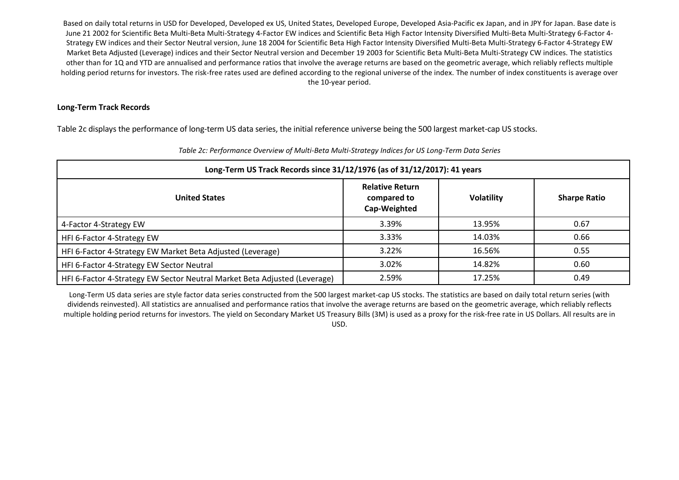Based on daily total returns in USD for Developed, Developed ex US, United States, Developed Europe, Developed Asia-Pacific ex Japan, and in JPY for Japan. Base date is June 21 2002 for Scientific Beta Multi-Beta Multi-Strategy 4-Factor EW indices and Scientific Beta High Factor Intensity Diversified Multi-Beta Multi-Strategy 6-Factor 4- Strategy EW indices and their Sector Neutral version, June 18 2004 for Scientific Beta High Factor Intensity Diversified Multi-Beta Multi-Strategy 6-Factor 4-Strategy EW Market Beta Adjusted (Leverage) indices and their Sector Neutral version and December 19 2003 for Scientific Beta Multi-Beta Multi-Strategy CW indices. The statistics other than for 1Q and YTD are annualised and performance ratios that involve the average returns are based on the geometric average, which reliably reflects multiple holding period returns for investors. The risk-free rates used are defined according to the regional universe of the index. The number of index constituents is average over the 10-year period.

## **Long-Term Track Records**

Table 2c displays the performance of long-term US data series, the initial reference universe being the 500 largest market-cap US stocks.

| Long-Term US Track Records since 31/12/1976 (as of 31/12/2017): 41 years  |                                                       |                   |                     |  |  |  |  |  |
|---------------------------------------------------------------------------|-------------------------------------------------------|-------------------|---------------------|--|--|--|--|--|
| <b>United States</b>                                                      | <b>Relative Return</b><br>compared to<br>Cap-Weighted | <b>Volatility</b> | <b>Sharpe Ratio</b> |  |  |  |  |  |
| 4-Factor 4-Strategy EW                                                    | 3.39%                                                 | 13.95%            | 0.67                |  |  |  |  |  |
| HFI 6-Factor 4-Strategy EW                                                | 3.33%                                                 | 14.03%            | 0.66                |  |  |  |  |  |
| HFI 6-Factor 4-Strategy EW Market Beta Adjusted (Leverage)                | 3.22%                                                 | 16.56%            | 0.55                |  |  |  |  |  |
| HFI 6-Factor 4-Strategy EW Sector Neutral                                 | 3.02%                                                 | 14.82%            | 0.60                |  |  |  |  |  |
| HFI 6-Factor 4-Strategy EW Sector Neutral Market Beta Adjusted (Leverage) | 2.59%                                                 | 17.25%            | 0.49                |  |  |  |  |  |

#### *Table 2c: Performance Overview of Multi-Beta Multi-Strategy Indices for US Long-Term Data Series*

Long-Term US data series are style factor data series constructed from the 500 largest market-cap US stocks. The statistics are based on daily total return series (with dividends reinvested). All statistics are annualised and performance ratios that involve the average returns are based on the geometric average, which reliably reflects multiple holding period returns for investors. The yield on Secondary Market US Treasury Bills (3M) is used as a proxy for the risk-free rate in US Dollars. All results are in USD.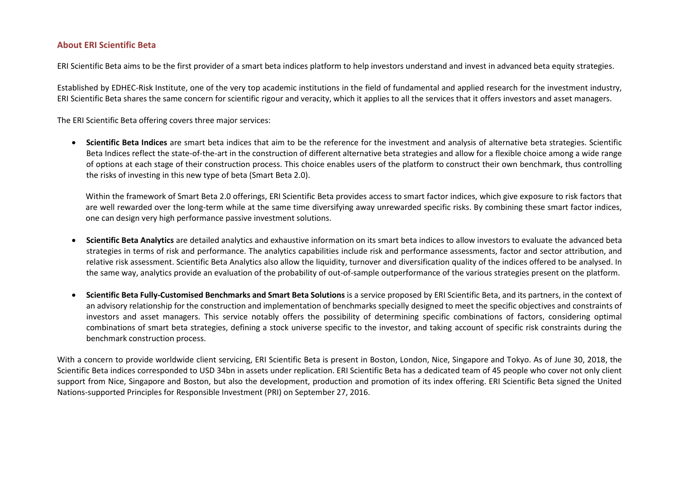## **About ERI Scientific Beta**

ERI Scientific Beta aims to be the first provider of a smart beta indices platform to help investors understand and invest in advanced beta equity strategies.

Established by EDHEC-Risk Institute, one of the very top academic institutions in the field of fundamental and applied research for the investment industry, ERI Scientific Beta shares the same concern for scientific rigour and veracity, which it applies to all the services that it offers investors and asset managers.

The ERI Scientific Beta offering covers three major services:

 **Scientific Beta Indices** are smart beta indices that aim to be the reference for the investment and analysis of alternative beta strategies. Scientific Beta Indices reflect the state-of-the-art in the construction of different alternative beta strategies and allow for a flexible choice among a wide range of options at each stage of their construction process. This choice enables users of the platform to construct their own benchmark, thus controlling the risks of investing in this new type of beta (Smart Beta 2.0).

Within the framework of Smart Beta 2.0 offerings, ERI Scientific Beta provides access to smart factor indices, which give exposure to risk factors that are well rewarded over the long-term while at the same time diversifying away unrewarded specific risks. By combining these smart factor indices, one can design very high performance passive investment solutions.

- **Scientific Beta Analytics** are detailed analytics and exhaustive information on its smart beta indices to allow investors to evaluate the advanced beta strategies in terms of risk and performance. The analytics capabilities include risk and performance assessments, factor and sector attribution, and relative risk assessment. Scientific Beta Analytics also allow the liquidity, turnover and diversification quality of the indices offered to be analysed. In the same way, analytics provide an evaluation of the probability of out-of-sample outperformance of the various strategies present on the platform.
- **Scientific Beta Fully-Customised Benchmarks and Smart Beta Solutions** is a service proposed by ERI Scientific Beta, and its partners, in the context of an advisory relationship for the construction and implementation of benchmarks specially designed to meet the specific objectives and constraints of investors and asset managers. This service notably offers the possibility of determining specific combinations of factors, considering optimal combinations of smart beta strategies, defining a stock universe specific to the investor, and taking account of specific risk constraints during the benchmark construction process.

With a concern to provide worldwide client servicing, ERI Scientific Beta is present in Boston, London, Nice, Singapore and Tokyo. As of June 30, 2018, the Scientific Beta indices corresponded to USD 34bn in assets under replication. ERI Scientific Beta has a dedicated team of 45 people who cover not only client support from Nice, Singapore and Boston, but also the development, production and promotion of its index offering. ERI Scientific Beta signed the United Nations-supported Principles for Responsible Investment (PRI) on September 27, 2016.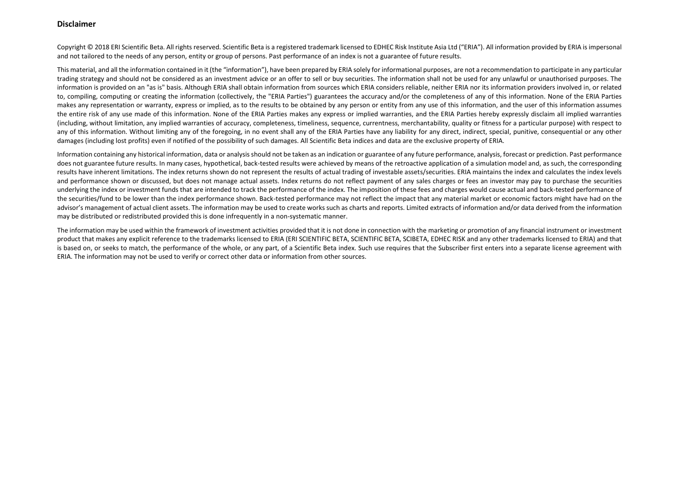#### **Disclaimer**

Copyright © 2018 ERI Scientific Beta. All rights reserved. Scientific Beta is a registered trademark licensed to EDHEC Risk Institute Asia Ltd ("ERIA"). All information provided by ERIA is impersonal and not tailored to the needs of any person, entity or group of persons. Past performance of an index is not a guarantee of future results.

This material, and all the information contained in it (the "information"), have been prepared by ERIA solely for informational purposes, are not a recommendation to participate in any particular trading strategy and should not be considered as an investment advice or an offer to sell or buy securities. The information shall not be used for any unlawful or unauthorised purposes. The information is provided on an "as is" basis. Although ERIA shall obtain information from sources which ERIA considers reliable, neither ERIA nor its information providers involved in, or related to, compiling, computing or creating the information (collectively, the "ERIA Parties") guarantees the accuracy and/or the completeness of any of this information. None of the ERIA Parties makes any representation or warranty, express or implied, as to the results to be obtained by any person or entity from any use of this information, and the user of this information assumes the entire risk of any use made of this information. None of the ERIA Parties makes any express or implied warranties, and the ERIA Parties hereby expressly disclaim all implied warranties (including, without limitation, any implied warranties of accuracy, completeness, timeliness, sequence, currentness, merchantability, quality or fitness for a particular purpose) with respect to any of this information. Without limiting any of the foregoing, in no event shall any of the ERIA Parties have any liability for any direct, indirect, special, punitive, consequential or any other damages (including lost profits) even if notified of the possibility of such damages. All Scientific Beta indices and data are the exclusive property of ERIA.

Information containing any historical information, data or analysis should not be taken as an indication or guarantee of any future performance, analysis, forecast or prediction. Past performance does not guarantee future results. In many cases, hypothetical, back-tested results were achieved by means of the retroactive application of a simulation model and, as such, the corresponding results have inherent limitations. The index returns shown do not represent the results of actual trading of investable assets/securities. ERIA maintains the index and calculates the index levels and performance shown or discussed, but does not manage actual assets. Index returns do not reflect payment of any sales charges or fees an investor may pay to purchase the securities underlying the index or investment funds that are intended to track the performance of the index. The imposition of these fees and charges would cause actual and back-tested performance of the securities/fund to be lower than the index performance shown. Back-tested performance may not reflect the impact that any material market or economic factors might have had on the advisor's management of actual client assets. The information may be used to create works such as charts and reports. Limited extracts of information and/or data derived from the information may be distributed or redistributed provided this is done infrequently in a non-systematic manner.

The information may be used within the framework of investment activities provided that it is not done in connection with the marketing or promotion of any financial instrument or investment product that makes any explicit reference to the trademarks licensed to ERIA (ERI SCIENTIFIC BETA, SCIENTIFIC BETA, SCIBETA, EDHEC RISK and any other trademarks licensed to ERIA) and that is based on, or seeks to match, the performance of the whole, or any part, of a Scientific Beta index. Such use requires that the Subscriber first enters into a separate license agreement with ERIA. The information may not be used to verify or correct other data or information from other sources.